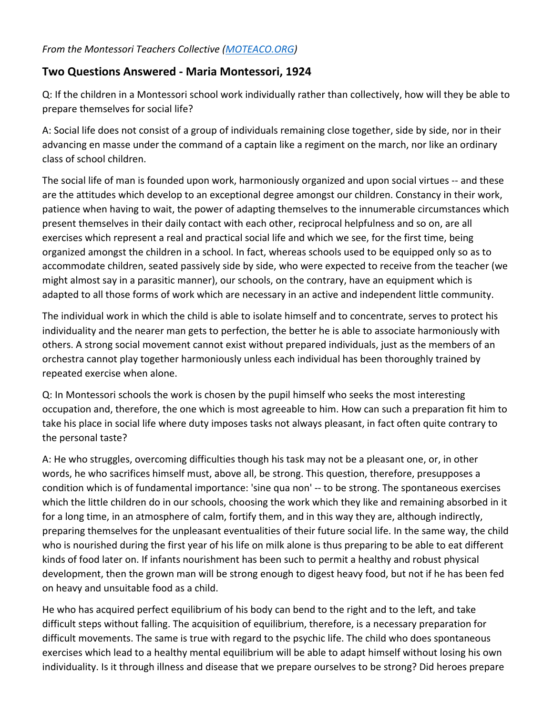## *From the Montessori Teachers Collective [\(MOTEACO.ORG\)](https://moteaco.org/)*

## **Two Questions Answered - Maria Montessori, 1924**

Q: If the children in a Montessori school work individually rather than collectively, how will they be able to prepare themselves for social life?

A: Social life does not consist of a group of individuals remaining close together, side by side, nor in their advancing en masse under the command of a captain like a regiment on the march, nor like an ordinary class of school children.

The social life of man is founded upon work, harmoniously organized and upon social virtues -- and these are the attitudes which develop to an exceptional degree amongst our children. Constancy in their work, patience when having to wait, the power of adapting themselves to the innumerable circumstances which present themselves in their daily contact with each other, reciprocal helpfulness and so on, are all exercises which represent a real and practical social life and which we see, for the first time, being organized amongst the children in a school. In fact, whereas schools used to be equipped only so as to accommodate children, seated passively side by side, who were expected to receive from the teacher (we might almost say in a parasitic manner), our schools, on the contrary, have an equipment which is adapted to all those forms of work which are necessary in an active and independent little community.

The individual work in which the child is able to isolate himself and to concentrate, serves to protect his individuality and the nearer man gets to perfection, the better he is able to associate harmoniously with others. A strong social movement cannot exist without prepared individuals, just as the members of an orchestra cannot play together harmoniously unless each individual has been thoroughly trained by repeated exercise when alone.

Q: In Montessori schools the work is chosen by the pupil himself who seeks the most interesting occupation and, therefore, the one which is most agreeable to him. How can such a preparation fit him to take his place in social life where duty imposes tasks not always pleasant, in fact often quite contrary to the personal taste?

A: He who struggles, overcoming difficulties though his task may not be a pleasant one, or, in other words, he who sacrifices himself must, above all, be strong. This question, therefore, presupposes a condition which is of fundamental importance: 'sine qua non' -- to be strong. The spontaneous exercises which the little children do in our schools, choosing the work which they like and remaining absorbed in it for a long time, in an atmosphere of calm, fortify them, and in this way they are, although indirectly, preparing themselves for the unpleasant eventualities of their future social life. In the same way, the child who is nourished during the first year of his life on milk alone is thus preparing to be able to eat different kinds of food later on. If infants nourishment has been such to permit a healthy and robust physical development, then the grown man will be strong enough to digest heavy food, but not if he has been fed on heavy and unsuitable food as a child.

He who has acquired perfect equilibrium of his body can bend to the right and to the left, and take difficult steps without falling. The acquisition of equilibrium, therefore, is a necessary preparation for difficult movements. The same is true with regard to the psychic life. The child who does spontaneous exercises which lead to a healthy mental equilibrium will be able to adapt himself without losing his own individuality. Is it through illness and disease that we prepare ourselves to be strong? Did heroes prepare